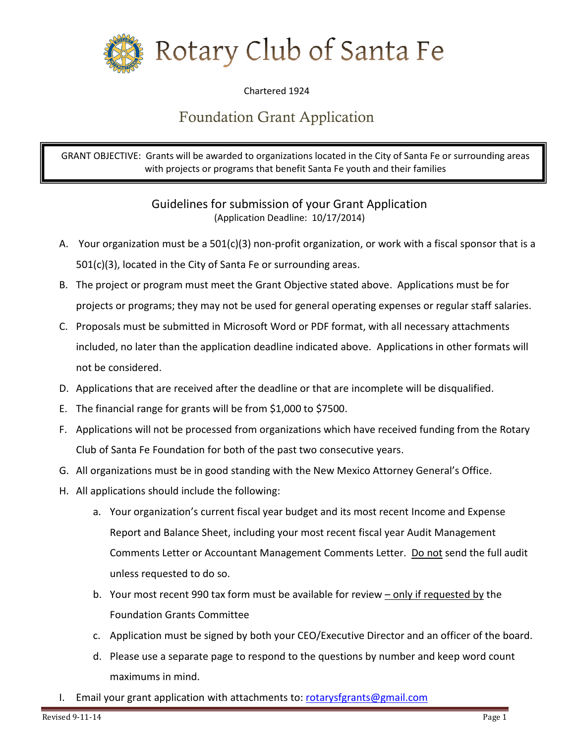

Chartered 1924

## Foundation Grant Application

GRANT OBJECTIVE: Grants will be awarded to organizations located in the City of Santa Fe or surrounding areas with projects or programs that benefit Santa Fe youth and their families

> Guidelines for submission of your Grant Application (Application Deadline: 10/17/2014)

- A. Your organization must be a 501(c)(3) non-profit organization, or work with a fiscal sponsor that is a 501(c)(3), located in the City of Santa Fe or surrounding areas.
- B. The project or program must meet the Grant Objective stated above. Applications must be for projects or programs; they may not be used for general operating expenses or regular staff salaries.
- C. Proposals must be submitted in Microsoft Word or PDF format, with all necessary attachments included, no later than the application deadline indicated above. Applications in other formats will not be considered.
- D. Applications that are received after the deadline or that are incomplete will be disqualified.
- E. The financial range for grants will be from \$1,000 to \$7500.
- F. Applications will not be processed from organizations which have received funding from the Rotary Club of Santa Fe Foundation for both of the past two consecutive years.
- G. All organizations must be in good standing with the New Mexico Attorney General's Office.
- H. All applications should include the following:
	- a. Your organization's current fiscal year budget and its most recent Income and Expense Report and Balance Sheet, including your most recent fiscal year Audit Management Comments Letter or Accountant Management Comments Letter. Do not send the full audit unless requested to do so.
	- b. Your most recent 990 tax form must be available for review only if requested by the Foundation Grants Committee
	- c. Application must be signed by both your CEO/Executive Director and an officer of the board.
	- d. Please use a separate page to respond to the questions by number and keep word count maximums in mind.
- I. Email your grant application with attachments to[: rotarysfgrants@gmail.com](mailto:rotarysfgrants@gmail.com)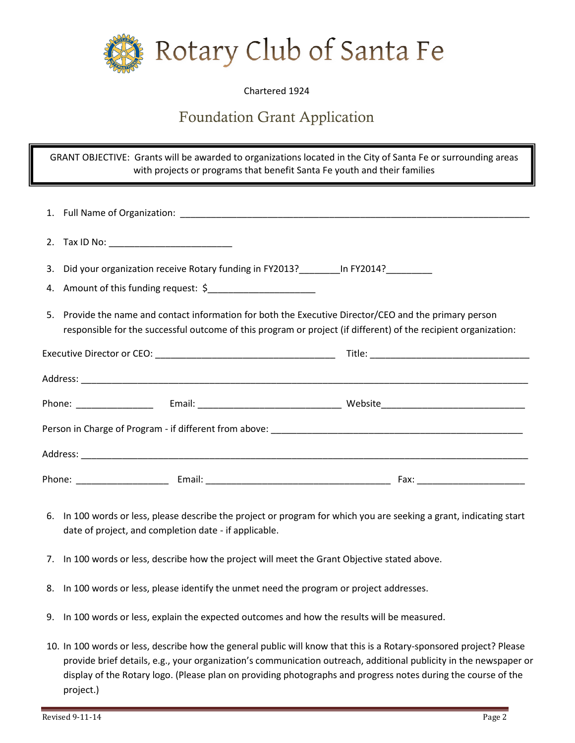

## Chartered 1924

## Foundation Grant Application

GRANT OBJECTIVE: Grants will be awarded to organizations located in the City of Santa Fe or surrounding areas with projects or programs that benefit Santa Fe youth and their families

|  | 2. Tax ID No: __________________________                                                                                                                                                                                  |  |
|--|---------------------------------------------------------------------------------------------------------------------------------------------------------------------------------------------------------------------------|--|
|  | 3. Did your organization receive Rotary funding in FY2013?__________ In FY2014?_________                                                                                                                                  |  |
|  | 4. Amount of this funding request: \$                                                                                                                                                                                     |  |
|  | 5. Provide the name and contact information for both the Executive Director/CEO and the primary person<br>responsible for the successful outcome of this program or project (if different) of the recipient organization: |  |
|  |                                                                                                                                                                                                                           |  |
|  |                                                                                                                                                                                                                           |  |
|  |                                                                                                                                                                                                                           |  |
|  |                                                                                                                                                                                                                           |  |
|  |                                                                                                                                                                                                                           |  |
|  |                                                                                                                                                                                                                           |  |

- 6. In 100 words or less, please describe the project or program for which you are seeking a grant, indicating start date of project, and completion date - if applicable.
- 7. In 100 words or less, describe how the project will meet the Grant Objective stated above.
- 8. In 100 words or less, please identify the unmet need the program or project addresses.
- 9. In 100 words or less, explain the expected outcomes and how the results will be measured.
- 10. In 100 words or less, describe how the general public will know that this is a Rotary-sponsored project? Please provide brief details, e.g., your organization's communication outreach, additional publicity in the newspaper or display of the Rotary logo. (Please plan on providing photographs and progress notes during the course of the project.)